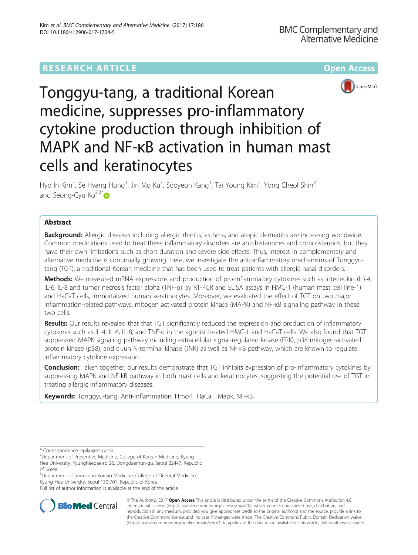# **RESEARCH ARTICLE Example 2014 12:30 The Community Community Community Community Community Community Community**



Tonggyu-tang, a traditional Korean medicine, suppresses pro-inflammatory cytokine production through inhibition of MAPK and NF-κB activation in human mast cells and keratinocytes

Hyo In Kim<sup>1</sup>, Se Hyang Hong<sup>1</sup>, Jin Mo Ku<sup>1</sup>, Sooyeon Kang<sup>1</sup>, Tai Young Kim<sup>2</sup>, Yong Cheol Shin<sup>2</sup> and Seong-Gyu  $\text{Ko}^{2,3^*}$  $\text{Ko}^{2,3^*}$  $\text{Ko}^{2,3^*}$ 

## Abstract

**Background:** Allergic diseases including allergic rhinitis, asthma, and atopic dermatitis are increasing worldwide. Common medications used to treat these inflammatory disorders are anti-histamines and corticosteroids, but they have their own limitations such as short duration and severe side effects. Thus, interest in complementary and alternative medicine is continually growing. Here, we investigate the anti-inflammatory mechanisms of Tonggyutang (TGT), a traditional Korean medicine that has been used to treat patients with allergic nasal disorders.

Methods: We measured mRNA expressions and production of pro-inflammatory cytokines such as interleukin (IL)-4, IL-6, IL-8 and tumor necrosis factor alpha (TNF-α) by RT-PCR and ELISA assays in HMC-1 (human mast cell line-1) and HaCaT cells, immortalized human keratinocytes. Moreover, we evaluated the effect of TGT on two major inflammation-related pathways, mitogen activated protein kinase (MAPK) and NF-κB signaling pathway in these two cells.

Results: Our results revealed that that TGT significantly reduced the expression and production of inflammatory cytokines such as IL-4, IL-6, IL-8, and TNF-α in the agonist-treated HMC-1 and HaCaT cells. We also found that TGT suppressed MAPK signaling pathway including extracellular signal-regulated kinase (ERK), p38 mitogen-activated protein kinase (p38), and c-Jun N-terminal kinase (JNK) as well as NF-κB pathway, which are known to regulate inflammatory cytokine expression.

Conclusion: Taken together, our results demonstrate that TGT inhibits expression of pro-inflammatory cytokines by suppressing MAPK and NF-kB pathway in both mast cells and keratinocytes, suggesting the potential use of TGT in treating allergic inflammatory diseases.

Keywords: Tonggyu-tang, Anti-inflammation, Hmc-1, HaCaT, Mapk, NF-KB

<sup>3</sup>Department of Science in Korean Medicine, College of Oriental Medicine, Kyung Hee University, Seoul 130-701, Republic of Korea

Full list of author information is available at the end of the article



© The Author(s). 2017 **Open Access** This article is distributed under the terms of the Creative Commons Attribution 4.0 International License [\(http://creativecommons.org/licenses/by/4.0/](http://creativecommons.org/licenses/by/4.0/)), which permits unrestricted use, distribution, and reproduction in any medium, provided you give appropriate credit to the original author(s) and the source, provide a link to the Creative Commons license, and indicate if changes were made. The Creative Commons Public Domain Dedication waiver [\(http://creativecommons.org/publicdomain/zero/1.0/](http://creativecommons.org/publicdomain/zero/1.0/)) applies to the data made available in this article, unless otherwise stated.

<sup>\*</sup> Correspondence: [epiko@khu.ac.kr](mailto:epiko@khu.ac.kr) <sup>2</sup>

<sup>&</sup>lt;sup>2</sup>Department of Preventive Medicine, College of Korean Medicine, Kyung

Hee University, Kyungheedae-ro 26, Dongdaemun-gu, Seoul 02447, Republic of Korea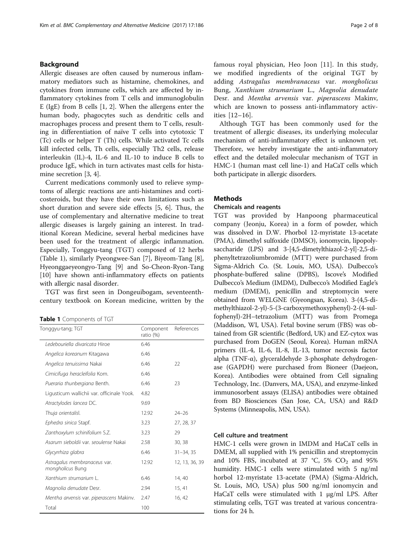## <span id="page-1-0"></span>Background

Allergic diseases are often caused by numerous inflammatory mediators such as histamine, chemokines, and cytokines from immune cells, which are affected by inflammatory cytokines from T cells and immunoglobulin E (IgE) from B cells [\[1](#page-6-0), [2\]](#page-6-0). When the allergens enter the human body, phagocytes such as dendritic cells and macrophages process and present them to T cells, resulting in differentiation of naïve T cells into cytotoxic T (Tc) cells or helper T (Th) cells. While activated Tc cells kill infected cells, Th cells, especially Th2 cells, release interleukin (IL)-4, IL-6 and IL-10 to induce B cells to produce IgE, which in turn activates mast cells for histamine secretion [\[3](#page-6-0), [4](#page-6-0)].

Current medications commonly used to relieve symptoms of allergic reactions are anti-histamines and corticosteroids, but they have their own limitations such as short duration and severe side effects [\[5](#page-6-0), [6](#page-6-0)]. Thus, the use of complementary and alternative medicine to treat allergic diseases is largely gaining an interest. In traditional Korean Medicine, several herbal medicines have been used for the treatment of allergic inflammation. Especially, Tonggyu-tang (TGT) composed of 12 herbs (Table 1), similarly Pyeongwee-San [[7](#page-6-0)], Biyeom-Tang [\[8](#page-6-0)], Hyeonggaeyeongyo-Tang [[9](#page-6-0)] and So-Cheon-Ryon-Tang [[10\]](#page-6-0) have shown anti-inflammatory effects on patients with allergic nasal disorder.

TGT was first seen in Dongeuibogam, seventeenthcentury textbook on Korean medicine, written by the

Table 1 Components of TGT

| Tonggyu-tang; TGT                                | Component<br>ratio (%) | References     |
|--------------------------------------------------|------------------------|----------------|
| Ledebouriella divaricata Hiroe                   | 6.46                   |                |
| Angelica koreanum Kitagawa                       | 6.46                   |                |
| Angelica tenuissima Nakai                        | 6.46                   | 22             |
| Cimicifuga heracleifolia Kom.                    | 6.46                   |                |
| Pueraria thunbergiana Benth.                     | 6.46                   | 23             |
| Ligusticum wallichii var. officinale Yook.       | 4.82                   |                |
| Atractylodes lancea DC.                          | 9.69                   |                |
| Thuja orientalisl.                               | 12.92                  | 24–26          |
| Ephedra sinica Stapf.                            | 3.23                   | 27, 28, 37     |
| Zanthoxylum schinifolium S.Z.                    | 3.23                   | 29             |
| Asarum sieboldii var. seoulense Nakai            | 2.58                   | 30, 38         |
| Glycyrrhiza glabra                               | 6.46                   | $31 - 34, 35$  |
| Astragalus membranaceus var.<br>mongholicus Bung | 12.92                  | 12, 13, 36, 39 |
| Xanthium strumarium L.                           | 6.46                   | 14, 40         |
| Magnolia denudate Desr.                          | 2.94                   | 15, 41         |
| Mentha arvensis var. piperascens Makinv.         | 2.47                   | 16, 42         |
| Total                                            | 100                    |                |

famous royal physician, Heo Joon [\[11](#page-6-0)]. In this study, we modified ingredients of the original TGT by adding Astragalus membranaceus var. mongholicus Bung, Xanthium strumarium L., Magnolia denudate Desr. and Mentha arvensis var. piperascens Makinv, which are known to possess anti-inflammatory activities [[12](#page-6-0)–[16\]](#page-6-0).

Although TGT has been commonly used for the treatment of allergic diseases, its underlying molecular mechanism of anti-inflammatory effect is unknown yet. Therefore, we hereby investigate the anti-inflammatory effect and the detailed molecular mechanism of TGT in HMC-1 (human mast cell line-1) and HaCaT cells which both participate in allergic disorders.

## **Methods**

#### Chemicals and reagents

TGT was provided by Hanpoong pharmaceutical company (Jeonju, Korea) in a form of powder, which was dissolved in D.W. Phorbol 12-myristate 13-acetate (PMA), dimethyl sulfoxide (DMSO), ionomycin, lipopolysaccharide (LPS) and 3-[4,5-dimetylthiazol-2-yl]-2,5-diphenyltetrazoliumbromide (MTT) were purchased from Sigma-Aldrich Co. (St. Louis, MO, USA). Dulbecco's phosphate-buffered saline (DPBS), Iscove's Modified Dulbecco's Medium (IMDM), Dulbecco's Modified Eagle's medium (DMEM), penicillin and streptomycin were obtained from WELGNE (Gyeongsan, Korea). 3-(4,5-dimethylthiazol-2-yl)-5-(3-carboxymethoxyphenyl)-2-(4-sulfophenyl)-2H–tetrazolium (MTT) was from Promega (Maddison, WI, USA). Fetal bovine serum (FBS) was obtained from GR scientific (Bedford, UK) and EZ-cytox was purchased from DoGEN (Seoul, Korea). Human mRNA primers (IL-4, IL-6, IL-8, IL-13, tumor necrosis factor alpha (TNF-α), glyceraldehyde 3-phosphate dehydrogenase (GAPDH) were purchased from Bioneer (Daejeon, Korea). Antibodies were obtained from Cell signaling Technology, Inc. (Danvers, MA, USA), and enzyme-linked immunosorbent assays (ELISA) antibodies were obtained from BD Biosciences (San Jose, CA, USA) and R&D Systems (Minneapolis, MN, USA).

## Cell culture and treatment

HMC-1 cells were grown in IMDM and HaCaT cells in DMEM, all supplied with 1% penicillin and streptomycin and 10% FBS, incubated at 37 °C, 5%  $CO<sub>2</sub>$  and 95% humidity. HMC-1 cells were stimulated with 5 ng/ml horbol 12-myristate 13-acetate (PMA) (Sigma-Aldrich, St. Louis, MO, USA) plus 500 ng/ml ionomycin and HaCaT cells were stimulated with 1 μg/ml LPS. After stimulating cells, TGT was treated at various concentrations for 24 h.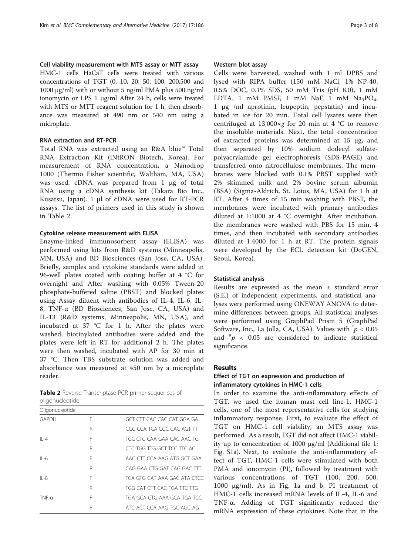#### Cell viability measurement with MTS assay or MTT assay

HMC-1 cells HaCaT cells were treated with various concentrations of TGT (0, 10, 20, 50, 100, 200,500 and 1000 μg/ml) with or without 5 ng/ml PMA plus 500 ng/ml ionomycin or LPS 1 μg/ml After 24 h, cells were treated with MTS or MTT reagent solution for 1 h, then absorbance was measured at 490 nm or 540 nm using a microplate.

## RNA extraction and RT-PCR

Total RNA was extracted using an R&A blue™ Total RNA Extraction Kit (iNtRON Biotech, Korea). For measurement of RNA concentration, a Nanodrop 1000 (Thermo Fisher scientific, Waltham, MA, USA) was used. cDNA was prepared from 1 μg of total RNA using a cDNA synthesis kit (Takara Bio Inc., Kusatsu, Japan). 1 μl of cDNA were used for RT-PCR assays. The list of primers used in this study is shown in Table 2.

## Cytokine release measurement with ELISA

Enzyme-linked immunosorbent assay (ELISA) was performed using kits from R&D systems (Minneapolis, MN, USA) and BD Biosciences (San Jose, CA, USA). Briefly, samples and cytokine standards were added in 96-well plates coated with coating buffer at 4 °C for overnight and After washing with 0.05% Tween-20 phosphate-buffered saline (PBST) and blocked plates using Assay diluent with antibodies of IL-4, IL-6, IL-8, TNF-α (BD Biosciences, San Jose, CA, USA) and IL-13 (R&D systems, Minneapolis, MN, USA), and incubated at 37 °C for 1 h. After the plates were washed, biotinylated antibodies were added and the plates were left in RT for additional 2 h. The plates were then washed, incubated with AP for 30 min at 37 °C. Then TBS substrate solution was added and absorbance was measured at 450 nm by a microplate reader.

| Table 2 Reverse-Transcriptase PCR primer sequences of |  |  |
|-------------------------------------------------------|--|--|
| oligonucleotide                                       |  |  |

| Oligonucleotide |   |                              |
|-----------------|---|------------------------------|
| GAPDH           | F | GCT CTT CAC CAC CAT GGA GA   |
|                 | R | CGC CCA TCA CGC CAC AGT TT   |
| $   -4$         | F | TGC CTC CAA GAA CAC AAC TG   |
|                 | R | CTC TGG TTG GCT TCC TTC AC   |
| $II -6$         | F | AAC CTT CCA AAG ATG GCT GAA  |
|                 | R | CAG GAA CTG GAT CAG GAC TTT  |
| $II - 8$        | F | TCA GTG CAT AAA GAC ATA CTCC |
|                 | R | TGG CAT CTT CAC TGA TTC TTG  |
| $TNF-\alpha$    | F | TGA GCA CTG AAA GCA TGA TCC  |
|                 | R | ATC ACT CCA AAG TGC AGC AG   |

## Western blot assay

Cells were harvested, washed with 1 ml DPBS and lysed with RIPA buffer (150 mM NaCl, 1% NP-40, 0.5% DOC, 0.1% SDS, 50 mM Tris (pH 8.0), 1 mM EDTA, 1 mM PMSF, 1 mM NaF, 1 mM  $Na<sub>3</sub>PO<sub>4</sub>$ , 1 μg /ml aprotinin, leupeptin, pepstatin) and incubated in ice for 20 min. Total cell lysates were then centrifuged at  $13,000\times g$  for 20 min at 4 °C to remove the insoluble materials. Next, the total concentration of extracted proteins was determined at 15 μg, and then separated by 10% sodium dodecyl sulfatepolyacrylamide gel electrophoresis (SDS-PAGE) and transferred onto nitrocellulose membranes. The membranes were blocked with 0.1% PBST supplied with 2% skimmed milk and 2% bovine serum albumin (BSA) (Sigma-Aldrich, St. Loius, MA, USA) for 1 h at RT. After 4 times of 15 min washing with PBST, the membranes were incubated with primary antibodies diluted at 1:1000 at 4 °C overnight. After incubation, the membranes were washed with PBS for 15 min, 4 times, and then incubated with secondary antibodies diluted at 1:4000 for 1 h at RT. The protein signals were developed by the ECL detection kit (DoGEN, Seoul, Korea).

#### Statistical analysis

Results are expressed as the mean ± standard error (S.E.) of independent experiments, and statistical analyses were performed using ONEWAY ANOVA to determine differences between groups. All statistical analyses were performed using GraphPad Prism 5 (GraphPad Software, Inc., La Jolla, CA, USA). Values with  $p < 0.05$ and  $p \ll 0.05$  are considered to indicate statistical significance.

#### Results

## Effect of TGT on expression and production of inflammatory cytokines in HMC-1 cells

In order to examine the anti-inflammatory effects of TGT, we used the human mast cell line-1, HMC-1 cells, one of the most representative cells for studying inflammatory response. First, to evaluate the effect of TGT on HMC-1 cell viability, an MTS assay was performed. As a result, TGT did not affect HMC-1 viability up to concentration of 1000 μg/ml (Additional file [1](#page-5-0): Fig. S1a). Next, to evaluate the anti-inflammatory effect of TGT, HMC-1 cells were stimulated with both PMA and ionomycin (PI), followed by treatment with various concentrations of TGT (100, 200, 500, 1000 μg/ml). As in Fig. [1a](#page-3-0) and [b,](#page-3-0) PI treatment of HMC-1 cells increased mRNA levels of IL-4, IL-6 and TNF-α. Adding of TGT significantly reduced the mRNA expression of these cytokines. Note that in the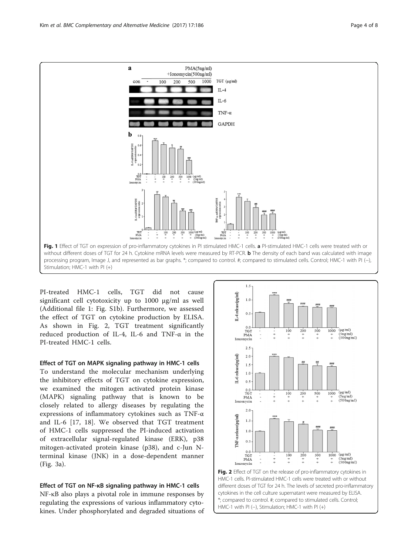

<span id="page-3-0"></span>

PI-treated HMC-1 cells, TGT did not cause significant cell cytotoxicity up to 1000 μg/ml as well (Additional file [1](#page-5-0): Fig. S1b). Furthermore, we assessed the effect of TGT on cytokine production by ELISA. As shown in Fig. 2, TGT treatment significantly reduced production of IL-4, IL-6 and TNF-α in the PI-treated HMC-1 cells.

## Effect of TGT on MAPK signaling pathway in HMC-1 cells

To understand the molecular mechanism underlying the inhibitory effects of TGT on cytokine expression, we examined the mitogen activated protein kinase (MAPK) signaling pathway that is known to be closely related to allergy diseases by regulating the expressions of inflammatory cytokines such as TNF-α and IL-6 [[17](#page-6-0), [18](#page-6-0)]. We observed that TGT treatment of HMC-1 cells suppressed the PI-induced activation of extracellular signal-regulated kinase (ERK), p38 mitogen-activated protein kinase (p38), and c-Jun Nterminal kinase (JNK) in a dose-dependent manner (Fig. [3a](#page-4-0)).

Effect of TGT on NF-κB signaling pathway in HMC-1 cells NF-κB also plays a pivotal role in immune responses by regulating the expressions of various inflammatory cytokines. Under phosphorylated and degraded situations of



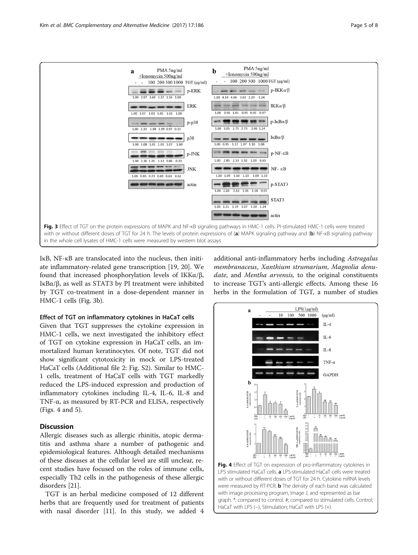<span id="page-4-0"></span>

IκB, NF-κB are translocated into the nucleus, then initiate inflammatory-related gene transcription [[19](#page-6-0), [20\]](#page-6-0). We found that increased phosphorylation levels of IKKα/β, IκBα/β, as well as STAT3 by PI treatment were inhibited by TGT co-treatment in a dose-dependent manner in HMC-1 cells (Fig. 3b).

### Effect of TGT on inflammatory cytokines in HaCaT cells

Given that TGT suppresses the cytokine expression in HMC-1 cells, we next investigated the inhibitory effect of TGT on cytokine expression in HaCaT cells, an immortalized human keratinocytes. Of note, TGT did not show significant cytotoxicity in mock or LPS-treated HaCaT cells (Additional file 2: Fig. S2). Similar to HMC-1 cells, treatment of HaCaT cells with TGT markedly reduced the LPS-induced expression and production of inflammatory cytokines including IL-4, IL-6, IL-8 and TNF-α, as measured by RT-PCR and ELISA, respectively (Figs. 4 and [5\)](#page-5-0).

## **Discussion**

Allergic diseases such as allergic rhinitis, atopic dermatitis and asthma share a number of pathogenic and epidemiological features. Although detailed mechanisms of these diseases at the cellular level are still unclear, recent studies have focused on the roles of immune cells, especially Th2 cells in the pathogenesis of these allergic disorders [\[21](#page-6-0)].

TGT is an herbal medicine composed of 12 different herbs that are frequently used for treatment of patients with nasal disorder [\[11](#page-6-0)]. In this study, we added 4 additional anti-inflammatory herbs including Astragalus membranaceus, Xanthium strumarium, Magnolia denudate, and Mentha arvensis, to the original constituents to increase TGT's anti-allergic effects. Among these 16 herbs in the formulation of TGT, a number of studies



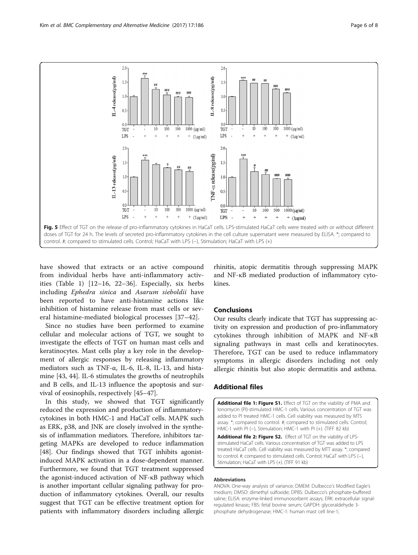<span id="page-5-0"></span>

have showed that extracts or an active compound from individual herbs have anti-inflammatory activities (Table [1\)](#page-1-0) [\[12](#page-6-0)–[16](#page-6-0), [22](#page-6-0)–[36\]](#page-7-0). Especially, six herbs including Ephedra sinica and Asarum sieboldii have been reported to have anti-histamine actions like inhibition of histamine release from mast cells or several histamine-mediated biological processes [[37](#page-7-0)–[42\]](#page-7-0).

Since no studies have been performed to examine cellular and molecular actions of TGT, we sought to investigate the effects of TGT on human mast cells and keratinocytes. Mast cells play a key role in the development of allergic responses by releasing inflammatory mediators such as TNF-α, IL-6, IL-8, IL-13, and histamine [\[43](#page-7-0), [44](#page-7-0)]. IL-6 stimulates the growths of neutrophils and B cells, and IL-13 influence the apoptosis and survival of eosinophils, respectively [[45](#page-7-0)–[47](#page-7-0)].

In this study, we showed that TGT significantly reduced the expression and production of inflammatorycytokines in both HMC-1 and HaCaT cells. MAPK such as ERK, p38, and JNK are closely involved in the synthesis of inflammation mediators. Therefore, inhibitors targeting MAPKs are developed to reduce inflammation [[48\]](#page-7-0). Our findings showed that TGT inhibits agonistinduced MAPK activation in a dose-dependent manner. Furthermore, we found that TGT treatment suppressed the agonist-induced activation of NF-κB pathway which is another important cellular signaling pathway for production of inflammatory cytokines. Overall, our results suggest that TGT can be effective treatment option for patients with inflammatory disorders including allergic

rhinitis, atopic dermatitis through suppressing MAPK and NF-κB mediated production of inflammatory cytokines.

#### Conclusions

Our results clearly indicate that TGT has suppressing activity on expression and production of pro-inflammatory cytokines through inhibition of MAPK and NF-κB signaling pathways in mast cells and keratinocytes. Therefore, TGT can be used to reduce inflammatory symptoms in allergic disorders including not only allergic rhinitis but also atopic dermatitis and asthma.

## Additional files

[Additional file 1: Figure S1.](dx.doi.org/10.1186/s12906-017-1704-5) Effect of TGT on the viability of PMA and Ionomycin (PI)-stimulated HMC-1 cells. Various concentration of TGT was added to PI treated HMC-1 cells. Cell viability was measured by MTS assay. \*; compared to control. #; compared to stimulated cells. Control; HMC-1 with PI (-), Stimulation; HMC-1 with PI (+). (TIFF 82 kb)

[Additional file 2: Figure S2.](dx.doi.org/10.1186/s12906-017-1704-5) Effect of TGT on the viability of LPSstimulated HaCaT cells. Various concentration of TGT was added to LPS treated HaCaT cells. Cell viability was measured by MTT assay. \*; compared to control. #; compared to stimulated cells. Control; HaCaT with LPS (−), Stimulation; HaCaT with LPS (+). (TIFF 91 kb)

#### Abbreviations

ANOVA: One-way analysis of variance; DMEM: Dulbecco's Modified Eagle's medium; DMSO: dimethyl sulfoxide; DPBS: Dulbecco's phosphate-buffered saline; ELISA: enzyme-linked immunosorbent assays; ERK: extracellular signalregulated kinase;; FBS: fetal bovine serum; GAPDH: glyceraldehyde 3 phosphate dehydrogenase; HMC-1: human mast cell line-1;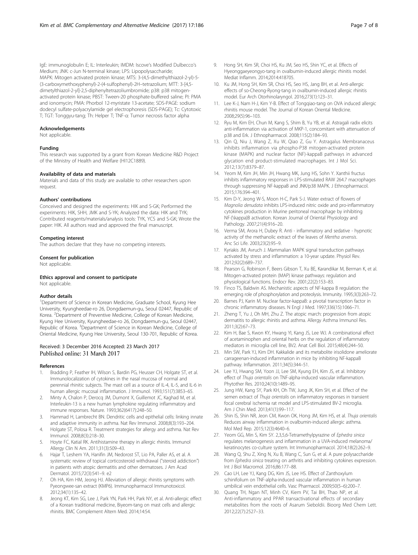<span id="page-6-0"></span>IgE: immunoglobulin E; IL: Interleukin; IMDM: Iscove's Modified Dulbecco's Medium; JNK: c-Jun N-terminal kinase; LPS: Lipopolysaccharide; MAPK: Mitogen activated protein kinase; MTS: 3-(4,5-dimethylthiazol-2-yl)-5- (3-carboxymethoxyphenyl)-2-(4-sulfophenyl)-2H–tetrazolium; MTT: 3-[4,5 dimetylthiazol-2-yl]-2,5-diphenyltetrazoliumbromide; p38: p38 mitogenactivated protein kinase; PBST: Tween-20 phosphate-buffered saline; PI: PMA and ionomycin; PMA: Phorbol 12-myristate 13-acetate; SDS-PAGE: sodium dodecyl sulfate-polyacrylamide gel electrophoresis (SDS-PAGE); Tc: Cytotoxic T; TGT: Tonggyu-tang; Th: Helper T; TNF-α: Tumor necrosis factor alpha

#### Acknowledgements

Not applicable.

#### Funding

This research was supported by a grant from Korean Medicine R&D Project of the Ministry of Health and Welfare (HI12C1889).

#### Availability of data and materials

Materials and data of this study are available to other researchers upon request.

#### Authors' contributions

Conceived and designed the experiments: HIK and S-GK; Performed the experiments: HIK, SHH, JMK and S-YK; Analyzed the data: HIK and TYK; Contributed reagents/materials/analysis tools: TYK, YCS and S-GK; Wrote the paper: HIK. All authors read and approved the final manuscript.

#### Competing interest

The authors declare that they have no competing interests.

#### Consent for publication

Not applicable.

#### Ethics approval and consent to participate Not applicable.

#### Author details

<sup>1</sup>Department of Science in Korean Medicine, Graduate School, Kyung Hee University, Kyungheedae-ro 26, Dongdaemun-gu, Seoul 02447, Republic of Korea. <sup>2</sup> Department of Preventive Medicine, College of Korean Medicine, Kyung Hee University, Kyungheedae-ro 26, Dongdaemun-gu, Seoul 02447, Republic of Korea. <sup>3</sup>Department of Science in Korean Medicine, College of Oriental Medicine, Kyung Hee University, Seoul 130-701, Republic of Korea.

## Received: 3 December 2016 Accepted: 23 March 2017 Published online: 31 March 2017

#### References

- 1. Bradding P, Feather IH, Wilson S, Bardin PG, Heusser CH, Holgate ST, et al. Immunolocalization of cytokines in the nasal mucosa of normal and perennial rhinitic subjects. The mast cell as a source of IL-4, IL-5, and IL-6 in human allergic mucosal inflammation. J Immunol. 1993;151(7):3853–65.
- 2. Minty A, Chalon P, Derocq JM, Dumont X, Guillemot JC, Kaghad M, et al. Interleukin-13 is a new human lymphokine regulating inflammatory and immune responses. Nature. 1993;362(6417):248–50.
- 3. Hammad H, Lambrecht BN. Dendritic cells and epithelial cells: linking innate and adaptive immunity in asthma. Nat Rev Immunol. 2008;8(3):193–204.
- 4. Holgate ST, Polosa R. Treatment strategies for allergy and asthma. Nat Rev Immunol. 2008;8(3):218–30.
- 5. Hoyte FC, Katial RK. Antihistamine therapy in allergic rhinitis. Immunol Allergy Clin N Am. 2011;31(3):509–43.
- 6. Hajar T, Leshem YA, Hanifin JM, Nedorost ST, Lio PA, Paller AS, et al. A systematic review of topical corticosteroid withdrawal ("steroid addiction") in patients with atopic dermatitis and other dermatoses. J Am Acad Dermatol. 2015;72(3):541–9. e2
- 7. Oh HA, Kim HM, Jeong HJ. Alleviation of allergic rhinitis symptoms with Pyeongwee-san extract (KMP6). Immunopharmacol Immunotoxicol. 2012;34(1):135–42.
- 8. Jeong KT, Kim SG, Lee J, Park YN, Park HH, Park NY, et al. Anti-allergic effect of a Korean traditional medicine, Biyeom-tang on mast cells and allergic rhinitis. BMC Complement Altern Med. 2014;14:54.
- 9. Hong SH, Kim SR, Choi HS, Ku JM, Seo HS, Shin YC, et al. Effects of Hyeonggaeyeongyo-tang in ovalbumin-induced allergic rhinitis model. Mediat Inflamm. 2014;2014:418705.
- 10. Ku JM, Hong SH, Kim SR, Choi HS, Seo HS, Jang BH, et al. Anti-allergic effects of so-Cheong-Ryong-tang in ovalbumin-induced allergic rhinitis model. Eur Arch Otorhinolaryngol. 2016;273(1):123–31.
- 11. Lee K-J, Nam H-J, Kim Y-B. Effect of Tongqiao-tang on OVA induced allergic rhinitis mouse model. The Journal of Korean Oriental Medicine. 2008;29(5):96–103.
- 12. Ryu M, Kim EH, Chun M, Kang S, Shim B, Yu YB, et al. Astragali radix elicits anti-inflammation via activation of MKP-1, concomitant with attenuation of p38 and Erk. J Ethnopharmacol. 2008;115(2):184–93.
- 13. Qin Q, Niu J, Wang Z, Xu W, Qiao Z, Gu Y. Astragalus Membranaceus inhibits inflammation via phospho-P38 mitogen-activated protein kinase (MAPK) and nuclear factor (NF)-kappaB pathways in advanced glycation end product-stimulated macrophages. Int J Mol Sci. 2012;13(7):8379–87.
- 14. Yeom M, Kim JH, Min JH, Hwang MK, Jung HS, Sohn Y. Xanthii fructus inhibits inflammatory responses in LPS-stimulated RAW 264.7 macrophages through suppressing NF-kappaB and JNK/p38 MAPK. J Ethnopharmacol. 2015;176:394–401.
- 15. Kim D-Y, Jeong W-S, Moon H-C, Park S-J. Water extract of flowers of Magnolia denudata inhibits LPS-induced nitric oxide and pro-inflammatory cytokines production in Murine peritoneal macrophage by inhibiting NF-{\kappa}B activation. Korean Journal of Oriental Physiology and Pathology. 2007;21(4):916–20.
- 16. Verma SM, Arora H, Dubey R. Anti inflammatory and sedative hypnotic activity of the methanolic extract of the leaves of Mentha arvensis. Anc Sci Life. 2003;23(2):95–9.
- 17. Kyriakis JM, Avruch J. Mammalian MAPK signal transduction pathways activated by stress and inflammation: a 10-year update. Physiol Rev. 2012;92(2):689–737.
- 18. Pearson G, Robinson F, Beers Gibson T, Xu BE, Karandikar M, Berman K, et al. Mitogen-activated protein (MAP) kinase pathways: regulation and physiological functions. Endocr Rev. 2001;22(2):153–83.
- 19. Finco TS, Baldwin AS. Mechanistic aspects of NF-kappa B regulation: the emerging role of phosphorylation and proteolysis. Immunity. 1995;3(3):263–72.
- 20. Barnes PJ, Karin M. Nuclear factor-kappaB: a pivotal transcription factor in chronic inflammatory diseases. N Engl J Med. 1997;336(15):1066–71.
- 21. Zheng T, Yu J, Oh MH, Zhu Z. The atopic march: progression from atopic dermatitis to allergic rhinitis and asthma. Allergy Asthma Immunol Res. 2011;3(2):67–73.
- 22. Kim H, Bae S, Kwon KY, Hwang YI, Kang JS, Lee WJ. A combinational effect of acetaminophen and oriental herbs on the regulation of inflammatory mediators in microglia cell line, BV2. Anat Cell Biol. 2015;48(4):244–50.
- 23. Min SW, Park YJ, Kim DH. Kakkalide and its metabolite irisolidone ameliorate carrageenan-induced inflammation in mice by inhibiting NF-kappaB pathway. Inflammation. 2011;34(5):344–51.
- 24. Lee YJ, Hwang SM, Yoon JJ, Lee SM, Kyung EH, Kim JS, et al. Inhibitory effect of Thuja orientalis on TNF-alpha-induced vascular inflammation. Phytother Res. 2010;24(10):1489–95.
- 25. Jung HW, Kang SY, Park KH, Oh TW, Jung JK, Kim SH, et al. Effect of the semen extract of Thuja orientalis on inflammatory responses in transient focal cerebral ischemia rat model and LPS-stimulated BV-2 microglia. Am J Chin Med. 2013;41(1):99–117.
- 26. Shin IS, Shin NR, Jeon CM, Kwon OK, Hong JM, Kim HS, et al. Thuja orientalis Reduces airway inflammation in ovalbumin-induced allergic asthma. Mol Med Rep. 2015;12(3):4640–6.
- 27. Yeom GG, Min S, Kim SY. 2,3,5,6-Tetramethylpyrazine of Ephedra sinica regulates melanogenesis and inflammation in a UVA-induced melanoma/ keratinocytes co-culture system. Int Immunopharmacol. 2014;18(2):262–9.
- 28. Wang Q, Shu Z, Xing N, Xu B, Wang C, Sun G, et al. A pure polysaccharide from Ephedra sinica treating on arthritis and inhibiting cytokines expression. Int J Biol Macromol. 2016;86:177–88.
- 29. Cao LH, Lee YJ, Kang DG, Kim JS, Lee HS. Effect of Zanthoxylum schinifolium on TNF-alpha-induced vascular inflammation in human umbilical vein endothelial cells. Vasc Pharmacol. 2009;50(5–6):200–7.
- 30. Quang TH, Ngan NT, Minh CV, Kiem PV, Tai BH, Thao NP, et al. Anti-inflammatory and PPAR transactivational effects of secondary metabolites from the roots of Asarum Sieboldii. Bioorg Med Chem Lett. 2012;22(7):2527–33.